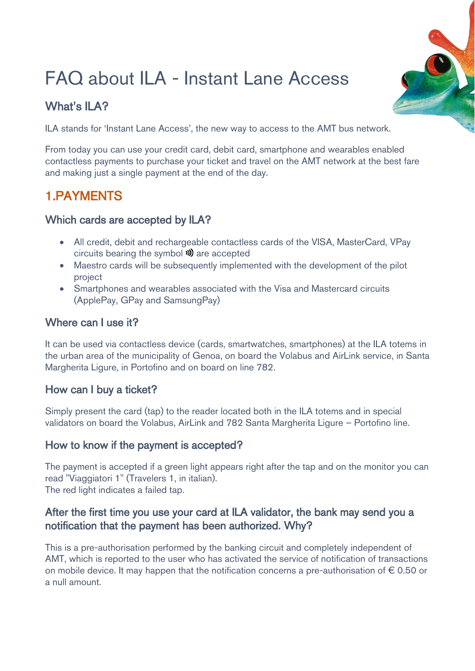# FAQ about ILA - Instant Lane Access

# What's ILA?

ILA stands for 'Instant Lane Access', the new way to access to the AMT bus network.

From today you can use your credit card, debit card, smartphone and wearables enabled contactless payments to purchase your ticket and travel on the AMT network at the best fare and making just a single payment at the end of the day.

# 1.PAYMENTS

# Which cards are accepted by ILA?

- All credit, debit and rechargeable contactless cards of the VISA, MasterCard, VPay circuits bearing the symbol  $\mathbf{W}$  are accepted
- Maestro cards will be subsequently implemented with the development of the pilot project
- Smartphones and wearables associated with the Visa and Mastercard circuits (ApplePay, GPay and SamsungPay)

# Where can Luse it?

It can be used via contactless device (cards, smartwatches, smartphones) at the ILA totems in the urban area of the municipality of Genoa, on board the Volabus and AirLink service, in Santa Margherita Ligure, in Portofino and on board on line 782.

# [How can I buy a ticket?](https://context.reverso.net/translation/english-italian/How+can+I+do)

Simply present the card (tap) to the reader located both in the ILA totems and in special validators on board the Volabus, AirLink and 782 Santa Margherita Ligure – Portofino line.

# How to know if the payment is accepted?

The payment is accepted if a green light appears right after the tap and on the monitor you can read "Viaggiatori 1" (Travelers 1, in italian). The red light indicates a failed tap.

# After the first time you use your card at ILA validator, the bank may send you a notification that the payment has been authorized. Why?

This is a pre-authorisation performed by the banking circuit and completely independent of AMT, which is reported to the user who has activated the service of notification of transactions on mobile device. It may happen that the notification concerns a pre-authorisation of  $\epsilon$  0.50 or a null amount.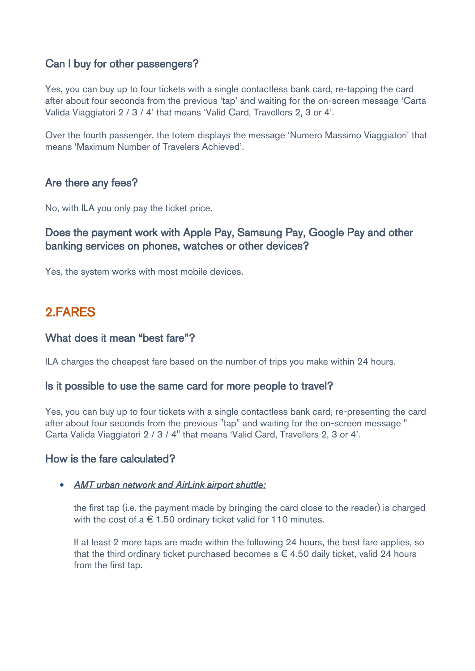# Can I buy for other passengers?

Yes, you can buy up to four tickets with a single contactless bank card, re-tapping the card after about four seconds from the previous 'tap' and waiting for the on-screen message 'Carta Valida Viaggiatori 2 / 3 / 4' that means 'Valid Card, Travellers 2, 3 or 4'.

Over the fourth passenger, the totem displays the message 'Numero Massimo Viaggiatori' that means 'Maximum Number of Travelers Achieved'.

## Are there any fees?

No, with ILA you only pay the ticket price.

# Does the payment work with Apple Pay, Samsung Pay, Google Pay and other banking services on phones, watches or other devices?

Yes, the system works with most mobile devices.

# 2.FARES

## What does it mean "best fare"?

ILA charges the cheapest fare based on the number of trips you make within 24 hours.

#### Is it possible to use the same card for more people to travel?

Yes, you can buy up to four tickets with a single contactless bank card, re-presenting the card after about four seconds from the previous "tap" and waiting for the on-screen message " Carta Valida Viaggiatori 2 / 3 / 4" that means 'Valid Card, Travellers 2, 3 or 4'.

#### How is the fare calculated?

#### *AMT urban network and AirLink airport shuttle:*

the first tap (i.e. the payment made by bringing the card close to the reader) is charged with the cost of a  $\epsilon$  1.50 ordinary ticket valid for 110 minutes.

If at least 2 more taps are made within the following 24 hours, the best fare applies, so that the third ordinary ticket purchased becomes a  $\epsilon$  4.50 daily ticket, valid 24 hours from the first tap.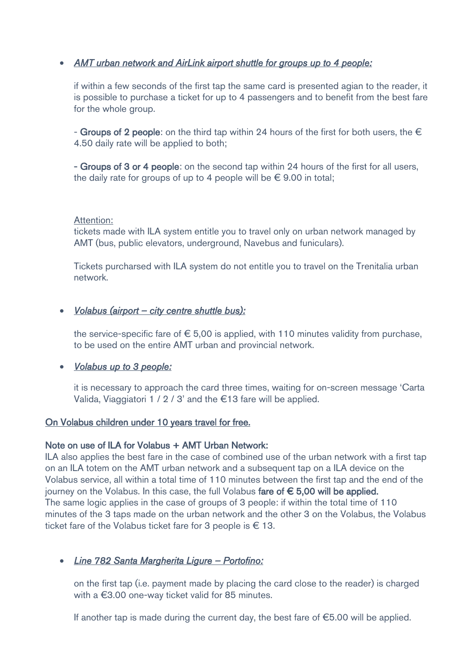#### *AMT urban network and AirLink airport shuttle for groups up to 4 people:*

if within a few seconds of the first tap the same card is presented agian to the reader, it is possible to purchase a ticket for up to 4 passengers and to benefit from the best fare for the whole group.

- Groups of 2 people: on the third tap within 24 hours of the first for both users, the  $\in$ 4.50 daily rate will be applied to both;

- Groups of 3 or 4 people: on the second tap within 24 hours of the first for all users, the daily rate for groups of up to 4 people will be  $\epsilon$  9.00 in total;

#### Attention:

tickets made with ILA system entitle you to travel only on urban network managed by AMT (bus, public elevators, underground, Navebus and funiculars).

Tickets purcharsed with ILA system do not entitle you to travel on the Trenitalia urban network.

#### *Volabus (airport – city centre shuttle bus):*

the service-specific fare of  $\epsilon$  5,00 is applied, with 110 minutes validity from purchase, to be used on the entire AMT urban and provincial network.

#### *Volabus up to 3 people:*

it is necessary to approach the card three times, waiting for on-screen message 'Carta Valida, Viaggiatori 1 / 2 / 3' and the  $\epsilon$ 13 fare will be applied.

#### On Volabus children under 10 years travel for free.

#### Note on use of ILA for Volabus + AMT Urban Network:

ILA also applies the best fare in the case of combined use of the urban network with a first tap on an ILA totem on the AMT urban network and a subsequent tap on a ILA device on the Volabus service, all within a total time of 110 minutes between the first tap and the end of the journey on the Volabus. In this case, the full Volabus fare of  $\epsilon$  5,00 will be applied. The same logic applies in the case of groups of 3 people: if within the total time of 110 minutes of the 3 taps made on the urban network and the other 3 on the Volabus, the Volabus ticket fare of the Volabus ticket fare for 3 people is  $\epsilon$  13.

#### *Line 782 Santa Margherita Ligure – Portofino:*

on the first tap (i.e. payment made by placing the card close to the reader) is charged with a €3.00 one-way ticket valid for 85 minutes.

If another tap is made during the current day, the best fare of  $\epsilon$ 5.00 will be applied.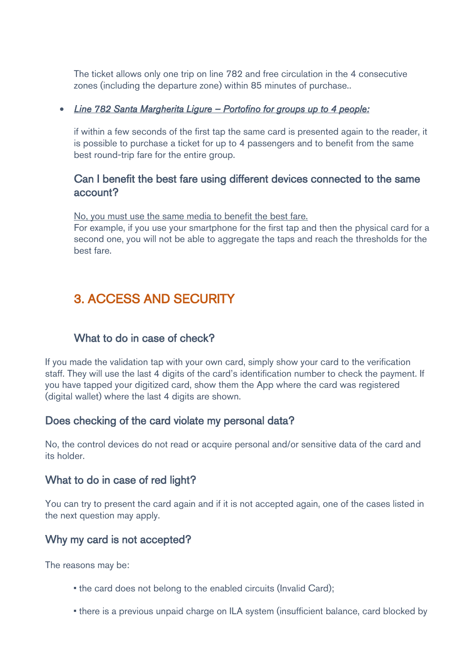The ticket allows only one trip on line 782 and free circulation in the 4 consecutive zones (including the departure zone) within 85 minutes of purchase..

#### *Line 782 Santa Margherita Ligure – Portofino for groups up to 4 people:*

if within a few seconds of the first tap the same card is presented again to the reader, it is possible to purchase a ticket for up to 4 passengers and to benefit from the same best round-trip fare for the entire group.

# Can I benefit the best fare using different devices connected to the same account?

No, you must use the same media to benefit the best fare.

For example, if you use your smartphone for the first tap and then the physical card for a second one, you will not be able to aggregate the taps and reach the thresholds for the best fare.

# 3. ACCESS AND SECURITY

# What to do in case of check?

If you made the validation tap with your own card, simply show your card to the verification staff. They will use the last 4 digits of the card's identification number to check the payment. If you have tapped your digitized card, show them the App where the card was registered (digital wallet) where the last 4 digits are shown.

# Does checking of the card violate my personal data?

No, the control devices do not read or acquire personal and/or sensitive data of the card and its holder.

# What to do in case of red light?

You can try to present the card again and if it is not accepted again, one of the cases listed in the next question may apply.

# Why my card is not accepted?

The reasons may be:

- the card does not belong to the enabled circuits (Invalid Card);
- there is a previous unpaid charge on ILA system (insufficient balance, card blocked by